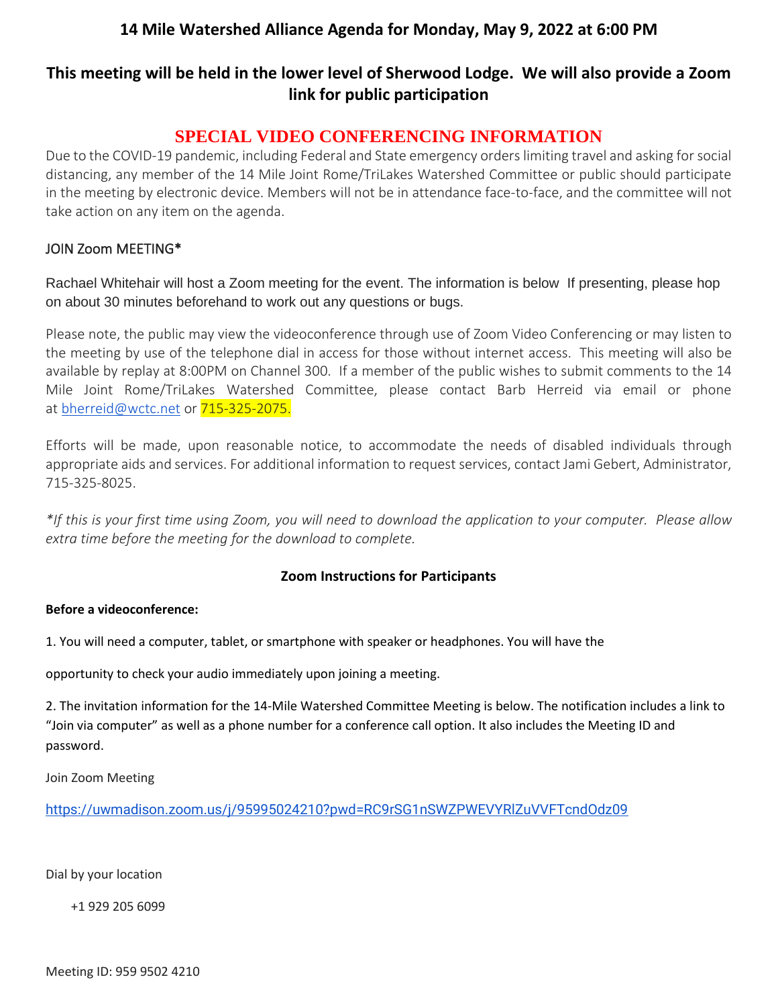## **14 Mile Watershed Alliance Agenda for Monday, May 9, 2022 at 6:00 PM**

# **This meeting will be held in the lower level of Sherwood Lodge. We will also provide a Zoom link for public participation**

# **SPECIAL VIDEO CONFERENCING INFORMATION**

Due to the COVID-19 pandemic, including Federal and State emergency orders limiting travel and asking for social distancing, any member of the 14 Mile Joint Rome/TriLakes Watershed Committee or public should participate in the meeting by electronic device. Members will not be in attendance face-to-face, and the committee will not take action on any item on the agenda.

### JOIN Zoom MEETING\*

Rachael Whitehair will host a Zoom meeting for the event. The information is below If presenting, please hop on about 30 minutes beforehand to work out any questions or bugs.

Please note, the public may view the videoconference through use of Zoom Video Conferencing or may listen to the meeting by use of the telephone dial in access for those without internet access. This meeting will also be available by replay at 8:00PM on Channel 300. If a member of the public wishes to submit comments to the 14 Mile Joint Rome/TriLakes Watershed Committee, please contact Barb Herreid via email or phone at [bherreid@wctc.net](mailto:bherreid@wctc.net) or 715-325-2075.

Efforts will be made, upon reasonable notice, to accommodate the needs of disabled individuals through appropriate aids and services. For additional information to request services, contact Jami Gebert, Administrator, 715-325-8025.

*\*If this is your first time using Zoom, you will need to download the application to your computer. Please allow extra time before the meeting for the download to complete.*

## **Zoom Instructions for Participants**

#### **Before a videoconference:**

1. You will need a computer, tablet, or smartphone with speaker or headphones. You will have the

opportunity to check your audio immediately upon joining a meeting.

2. The invitation information for the 14-Mile Watershed Committee Meeting is below. The notification includes a link to "Join via computer" as well as a phone number for a conference call option. It also includes the Meeting ID and password.

Join Zoom Meeting

<https://uwmadison.zoom.us/j/95995024210?pwd=RC9rSG1nSWZPWEVYRlZuVVFTcndOdz09>

Dial by your location

+1 929 205 6099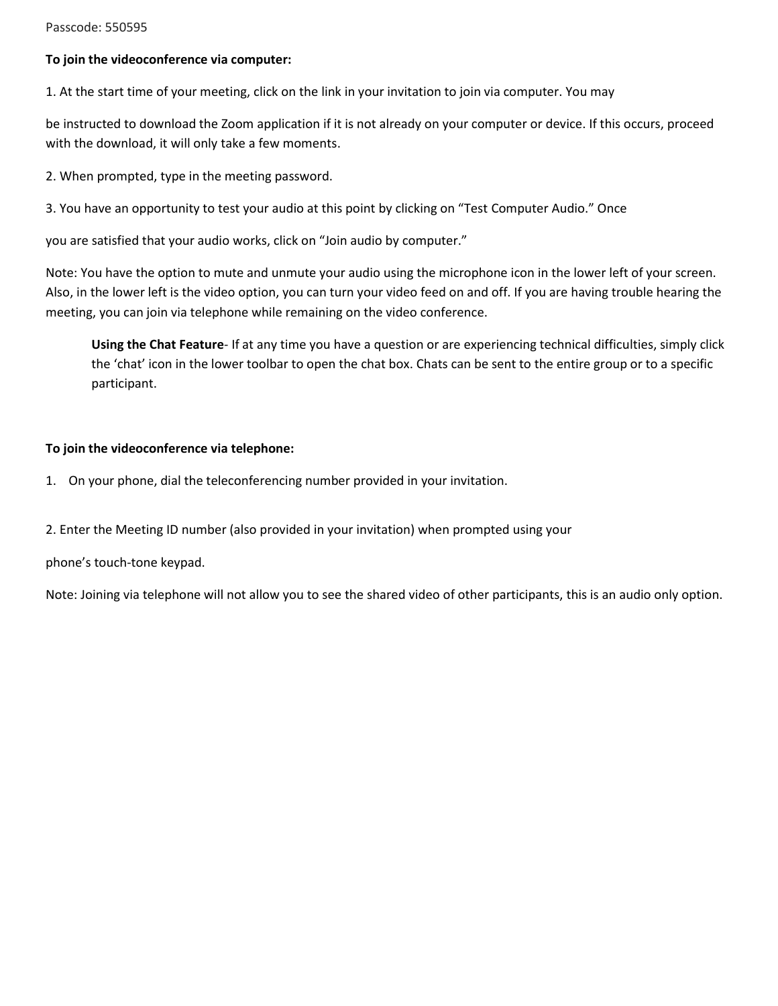#### Passcode: 550595

#### **To join the videoconference via computer:**

1. At the start time of your meeting, click on the link in your invitation to join via computer. You may

be instructed to download the Zoom application if it is not already on your computer or device. If this occurs, proceed with the download, it will only take a few moments.

2. When prompted, type in the meeting password.

3. You have an opportunity to test your audio at this point by clicking on "Test Computer Audio." Once

you are satisfied that your audio works, click on "Join audio by computer."

Note: You have the option to mute and unmute your audio using the microphone icon in the lower left of your screen. Also, in the lower left is the video option, you can turn your video feed on and off. If you are having trouble hearing the meeting, you can join via telephone while remaining on the video conference.

**Using the Chat Feature**- If at any time you have a question or are experiencing technical difficulties, simply click the 'chat' icon in the lower toolbar to open the chat box. Chats can be sent to the entire group or to a specific participant.

#### **To join the videoconference via telephone:**

- 1. On your phone, dial the teleconferencing number provided in your invitation.
- 2. Enter the Meeting ID number (also provided in your invitation) when prompted using your

phone's touch-tone keypad.

Note: Joining via telephone will not allow you to see the shared video of other participants, this is an audio only option.